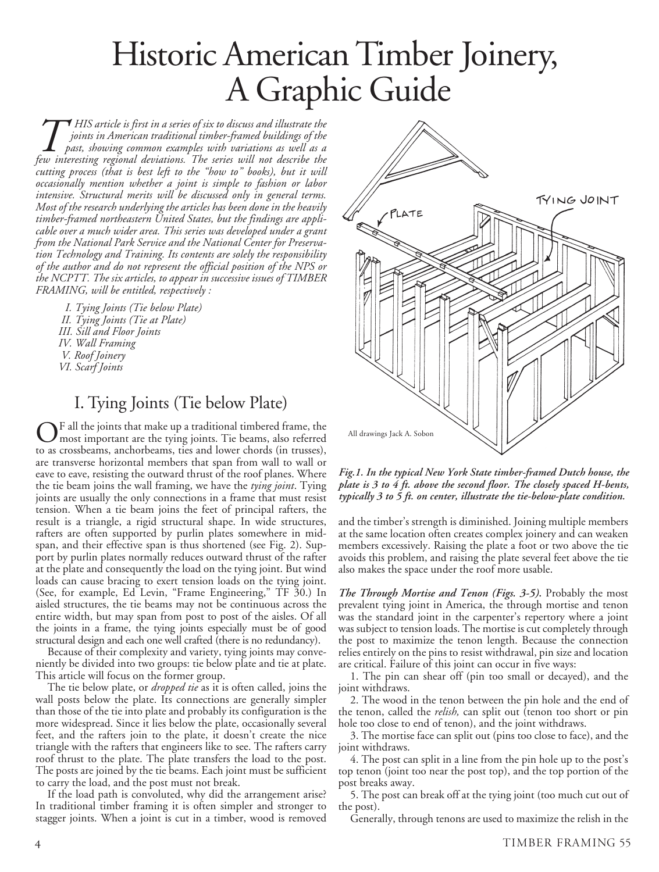## Historic American Timber Joinery, A Graphic Guide

*T* HIS article is first in a series of six to discuss and illustrate the joints in American traditional timber-framed buildings of the past, showing common examples with variations as well as a few interesting regional de *joints in American traditional timber-framed buildings of the past, showing common examples with variations as well as a cutting process (that is best left to the "how to" books), but it will occasionally mention whether a joint is simple to fashion or labor intensive. Structural merits will be discussed only in general terms. Most of the research underlying the articles has been done in the heavily timber-framed northeastern United States, but the findings are applicable over a much wider area. This series was developed under a grant from the National Park Service and the National Center for Preservation Technology and Training. Its contents are solely the responsibility of the author and do not represent the official position of the NPS or the NCPTT. The six articles, to appear in successive issues of TIMBER FRAMING, will be entitled, respectively :*

*I. Tying Joints (Tie below Plate) II. Tying Joints (Tie at Plate) III. Sill and Floor Joints IV. Wall Framing V. Roof Joinery VI. Scarf Joints*

## I. Tying Joints (Tie below Plate)

F all the joints that make up a traditional timbered frame, the most important are the tying joints. Tie beams, also referred to as crossbeams, anchorbeams, ties and lower chords (in trusses), are transverse horizontal members that span from wall to wall or eave to eave, resisting the outward thrust of the roof planes. Where the tie beam joins the wall framing, we have the *tying joint*. Tying joints are usually the only connections in a frame that must resist tension. When a tie beam joins the feet of principal rafters, the result is a triangle, a rigid structural shape. In wide structures, rafters are often supported by purlin plates somewhere in midspan, and their effective span is thus shortened (see Fig. 2). Support by purlin plates normally reduces outward thrust of the rafter at the plate and consequently the load on the tying joint. But wind loads can cause bracing to exert tension loads on the tying joint. (See, for example, Ed Levin, "Frame Engineering," TF 30.) In aisled structures, the tie beams may not be continuous across the entire width, but may span from post to post of the aisles. Of all the joints in a frame, the tying joints especially must be of good structural design and each one well crafted (there is no redundancy).

Because of their complexity and variety, tying joints may conveniently be divided into two groups: tie below plate and tie at plate. This article will focus on the former group.

The tie below plate, or *dropped tie* as it is often called, joins the wall posts below the plate. Its connections are generally simpler than those of the tie into plate and probably its configuration is the more widespread. Since it lies below the plate, occasionally several feet, and the rafters join to the plate, it doesn't create the nice triangle with the rafters that engineers like to see. The rafters carry roof thrust to the plate. The plate transfers the load to the post. The posts are joined by the tie beams. Each joint must be sufficient to carry the load, and the post must not break.

If the load path is convoluted, why did the arrangement arise? In traditional timber framing it is often simpler and stronger to stagger joints. When a joint is cut in a timber, wood is removed



*Fig.1. In the typical New York State timber-framed Dutch house, the plate is 3 to 4 ft. above the second floor. The closely spaced H-bents, typically 3 to 5 ft. on center, illustrate the tie-below-plate condition.*

and the timber's strength is diminished. Joining multiple members at the same location often creates complex joinery and can weaken members excessively. Raising the plate a foot or two above the tie avoids this problem, and raising the plate several feet above the tie also makes the space under the roof more usable.

*The Through Mortise and Tenon (Figs. 3-5)***.** Probably the most prevalent tying joint in America, the through mortise and tenon was the standard joint in the carpenter's repertory where a joint was subject to tension loads. The mortise is cut completely through the post to maximize the tenon length. Because the connection relies entirely on the pins to resist withdrawal, pin size and location are critical. Failure of this joint can occur in five ways:

1. The pin can shear off (pin too small or decayed), and the joint withdraws.

2. The wood in the tenon between the pin hole and the end of the tenon, called the *relish,* can split out (tenon too short or pin hole too close to end of tenon), and the joint withdraws.

3. The mortise face can split out (pins too close to face), and the joint withdraws.

4. The post can split in a line from the pin hole up to the post's top tenon (joint too near the post top), and the top portion of the post breaks away.

5. The post can break off at the tying joint (too much cut out of the post).

Generally, through tenons are used to maximize the relish in the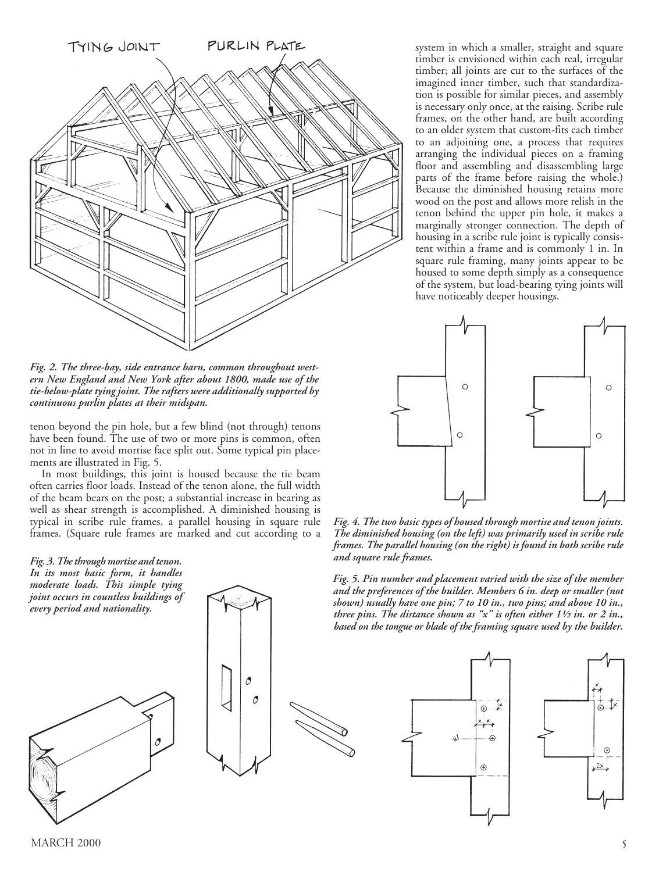

*Fig. 2. The three-bay, side entrance barn, common throughout western New England and New York after about 1800, made use of the tie-below-plate tying joint. The rafters were additionally supported by continuous purlin plates at their midspan.*

tenon beyond the pin hole, but a few blind (not through) tenons have been found. The use of two or more pins is common, often not in line to avoid mortise face split out. Some typical pin placements are illustrated in Fig. 5.

In most buildings, this joint is housed because the tie beam often carries floor loads. Instead of the tenon alone, the full width of the beam bears on the post; a substantial increase in bearing as well as shear strength is accomplished. A diminished housing is typical in scribe rule frames, a parallel housing in square rule frames. (Square rule frames are marked and cut according to a







system in which a smaller, straight and square timber is envisioned within each real, irregular timber; all joints are cut to the surfaces of the imagined inner timber, such that standardization is possible for similar pieces, and assembly is necessary only once, at the raising. Scribe rule frames, on the other hand, are built according to an older system that custom-fits each timber to an adjoining one, a process that requires arranging the individual pieces on a framing floor and assembling and disassembling large parts of the frame before raising the whole.) Because the diminished housing retains more wood on the post and allows more relish in the tenon behind the upper pin hole, it makes a marginally stronger connection. The depth of housing in a scribe rule joint is typically consistent within a frame and is commonly 1 in. In square rule framing, many joints appear to be housed to some depth simply as a consequence of the system, but load-bearing tying joints will have noticeably deeper housings.



*Fig. 4. The two basic types of housed through mortise and tenon joints. The diminished housing (on the left) was primarily used in scribe rule frames. The parallel housing (on the right) is found in both scribe rule and square rule frames.*

*Fig. 5. Pin number and placement varied with the size of the member and the preferences of the builder. Members 6 in. deep or smaller (not shown) usually have one pin; 7 to 10 in., two pins; and above 10 in., three pins. The distance shown as "x" is often either 1½ in. or 2 in., based on the tongue or blade of the framing square used by the builder.*





MARCH 2000 5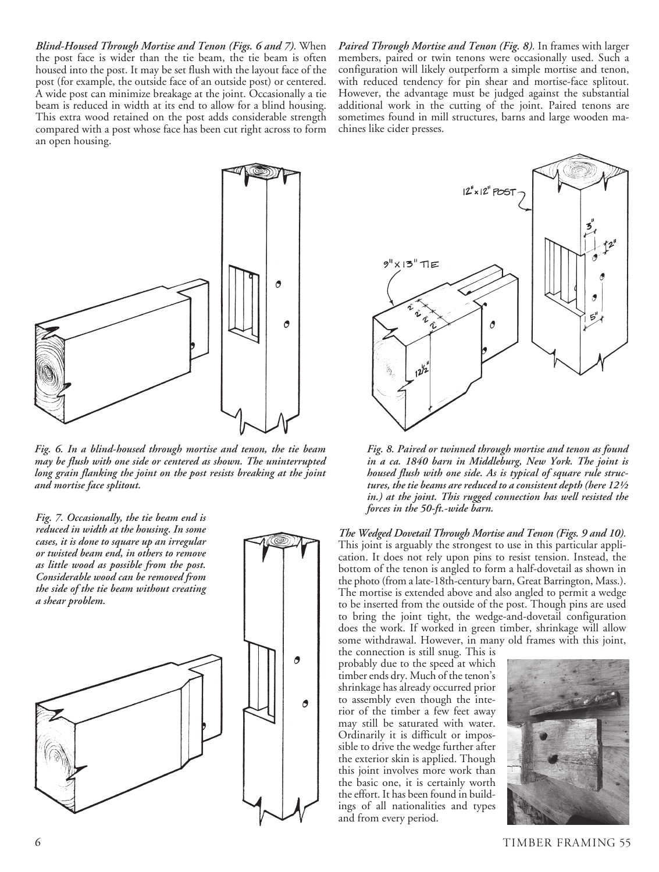*Blind-Housed Through Mortise and Tenon (Figs. 6 and 7)*. When the post face is wider than the tie beam, the tie beam is often housed into the post. It may be set flush with the layout face of the post (for example, the outside face of an outside post) or centered. A wide post can minimize breakage at the joint. Occasionally a tie beam is reduced in width at its end to allow for a blind housing. This extra wood retained on the post adds considerable strength compared with a post whose face has been cut right across to form an open housing.



*Fig. 6. In a blind-housed through mortise and tenon, the tie beam may be flush with one side or centered as shown. The uninterrupted long grain flanking the joint on the post resists breaking at the joint and mortise face splitout.*



*Paired Through Mortise and Tenon (Fig. 8)*. In frames with larger members, paired or twin tenons were occasionally used. Such a configuration will likely outperform a simple mortise and tenon, with reduced tendency for pin shear and mortise-face splitout. However, the advantage must be judged against the substantial additional work in the cutting of the joint. Paired tenons are sometimes found in mill structures, barns and large wooden machines like cider presses.



*Fig. 8. Paired or twinned through mortise and tenon as found in a ca. 1840 barn in Middleburg, New York. The joint is housed flush with one side. As is typical of square rule structures, the tie beams are reduced to a consistent depth (here 12½ in.) at the joint. This rugged connection has well resisted the forces in the 50-ft.-wide barn.*

*The Wedged Dovetail Through Mortise and Tenon (Figs. 9 and 10)*. This joint is arguably the strongest to use in this particular application. It does not rely upon pins to resist tension. Instead, the bottom of the tenon is angled to form a half-dovetail as shown in the photo (from a late-18th-century barn, Great Barrington, Mass.). The mortise is extended above and also angled to permit a wedge to be inserted from the outside of the post. Though pins are used to bring the joint tight, the wedge-and-dovetail configuration does the work. If worked in green timber, shrinkage will allow some withdrawal. However, in many old frames with this joint,

the connection is still snug. This is probably due to the speed at which timber ends dry. Much of the tenon's shrinkage has already occurred prior to assembly even though the interior of the timber a few feet away may still be saturated with water. Ordinarily it is difficult or impossible to drive the wedge further after the exterior skin is applied. Though this joint involves more work than the basic one, it is certainly worth the effort. It has been found in buildings of all nationalities and types and from every period.

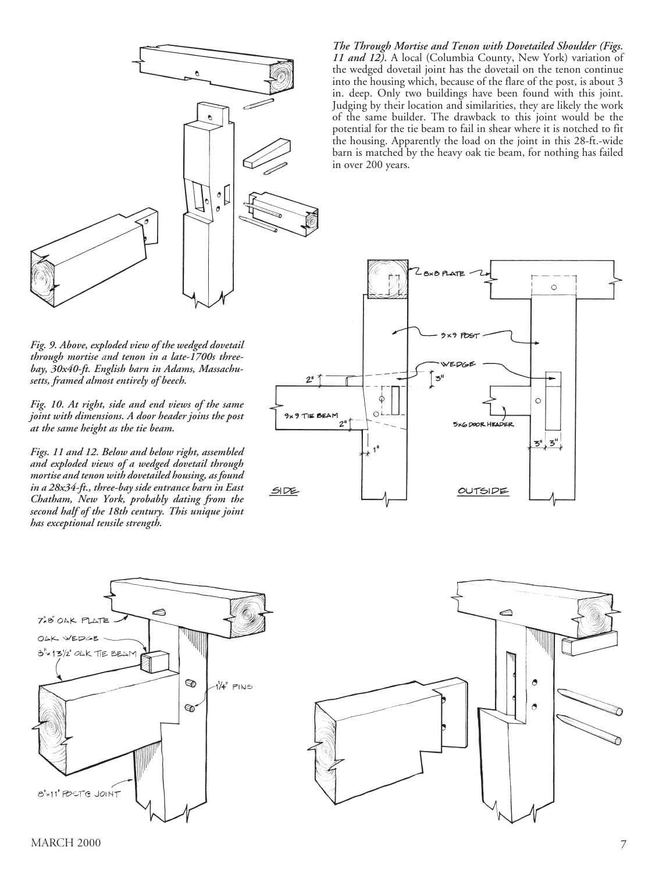

*Fig. 9. Above, exploded view of the wedged dovetail through mortise and tenon in a late-1700s threebay, 30x40-ft. English barn in Adams, Massachusetts, framed almost entirely of beech.*

*Fig. 10. At right, side and end views of the same joint with dimensions. A door header joins the post at the same height as the tie beam.*

*Figs. 11 and 12. Below and below right, assembled and exploded views of a wedged dovetail through mortise and tenon with dovetailed housing, as found in a 28x34-ft., three-bay side entrance barn in East Chatham, New York, probably dating from the second half of the 18th century. This unique joint has exceptional tensile strength.*

*The Through Mortise and Tenon with Dovetailed Shoulder (Figs. 11 and 12)***.** A local (Columbia County, New York) variation of the wedged dovetail joint has the dovetail on the tenon continue into the housing which, because of the flare of the post, is about 3 in. deep. Only two buildings have been found with this joint. Judging by their location and similarities, they are likely the work of the same builder. The drawback to this joint would be the potential for the tie beam to fail in shear where it is notched to fit the housing. Apparently the load on the joint in this 28-ft.-wide barn is matched by the heavy oak tie beam, for nothing has failed in over 200 years.





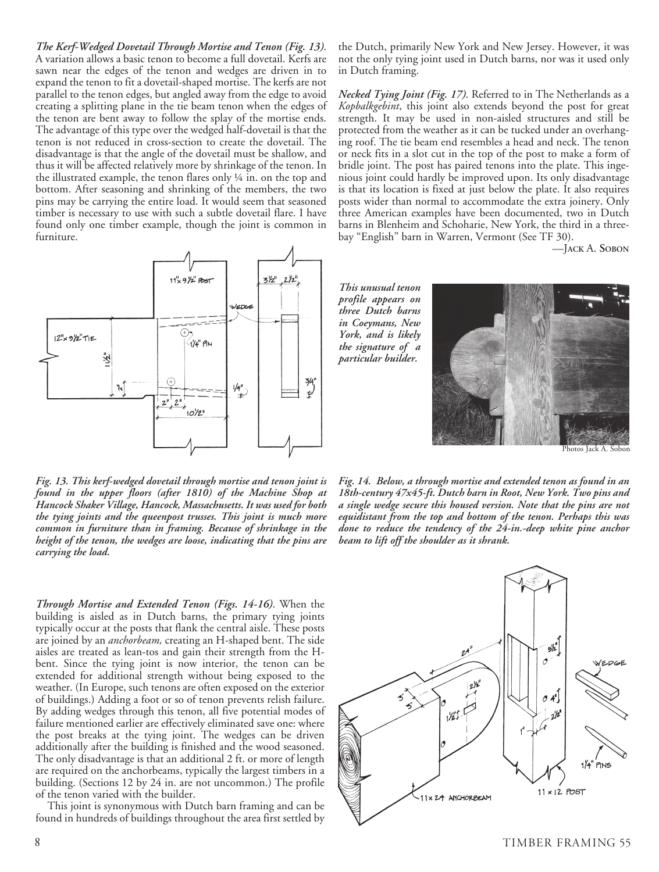*The Kerf-Wedged Dovetail Through Mortise and Tenon (Fig. 13)*. A variation allows a basic tenon to become a full dovetail. Kerfs are sawn near the edges of the tenon and wedges are driven in to expand the tenon to fit a dovetail-shaped mortise. The kerfs are not parallel to the tenon edges, but angled away from the edge to avoid creating a splitting plane in the tie beam tenon when the edges of the tenon are bent away to follow the splay of the mortise ends. The advantage of this type over the wedged half-dovetail is that the tenon is not reduced in cross-section to create the dovetail. The disadvantage is that the angle of the dovetail must be shallow, and thus it will be affected relatively more by shrinkage of the tenon. In the illustrated example, the tenon flares only ¼ in. on the top and bottom. After seasoning and shrinking of the members, the two pins may be carrying the entire load. It would seem that seasoned timber is necessary to use with such a subtle dovetail flare. I have found only one timber example, though the joint is common in furniture.



*Fig. 13. This kerf-wedged dovetail through mortise and tenon joint is found in the upper floors (after 1810) of the Machine Shop at Hancock Shaker Village, Hancock, Massachusetts. It was used for both the tying joints and the queenpost trusses. This joint is much more common in furniture than in framing. Because of shrinkage in the height of the tenon, the wedges are loose, indicating that the pins are carrying the load.*

*Through Mortise and Extended Tenon (Figs. 14-16)*. When the building is aisled as in Dutch barns, the primary tying joints typically occur at the posts that flank the central aisle. These posts are joined by an *anchorbeam,* creating an H-shaped bent. The side aisles are treated as lean-tos and gain their strength from the Hbent. Since the tying joint is now interior, the tenon can be extended for additional strength without being exposed to the weather. (In Europe, such tenons are often exposed on the exterior of buildings.) Adding a foot or so of tenon prevents relish failure. By adding wedges through this tenon, all five potential modes of failure mentioned earlier are effectively eliminated save one: where the post breaks at the tying joint. The wedges can be driven additionally after the building is finished and the wood seasoned. The only disadvantage is that an additional 2 ft. or more of length are required on the anchorbeams, typically the largest timbers in a building. (Sections 12 by 24 in. are not uncommon.) The profile of the tenon varied with the builder.

This joint is synonymous with Dutch barn framing and can be found in hundreds of buildings throughout the area first settled by

the Dutch, primarily New York and New Jersey. However, it was not the only tying joint used in Dutch barns, nor was it used only in Dutch framing.

*Necked Tying Joint (Fig. 17)*. Referred to in The Netherlands as a *Kopbalkgebint*, this joint also extends beyond the post for great strength. It may be used in non-aisled structures and still be protected from the weather as it can be tucked under an overhanging roof. The tie beam end resembles a head and neck. The tenon or neck fits in a slot cut in the top of the post to make a form of bridle joint. The post has paired tenons into the plate. This ingenious joint could hardly be improved upon. Its only disadvantage is that its location is fixed at just below the plate. It also requires posts wider than normal to accommodate the extra joinery. Only three American examples have been documented, two in Dutch barns in Blenheim and Schoharie, New York, the third in a threebay "English" barn in Warren, Vermont (See TF 30).

—J**ACK** A. **SOBON**





*Fig. 14. Below, a through mortise and extended tenon as found in an 18th-century 47x45-ft. Dutch barn in Root, New York. Two pins and a single wedge secure this housed version. Note that the pins are not equidistant from the top and bottom of the tenon. Perhaps this was done to reduce the tendency of the 24-in.-deep white pine anchor beam to lift off the shoulder as it shrank.*